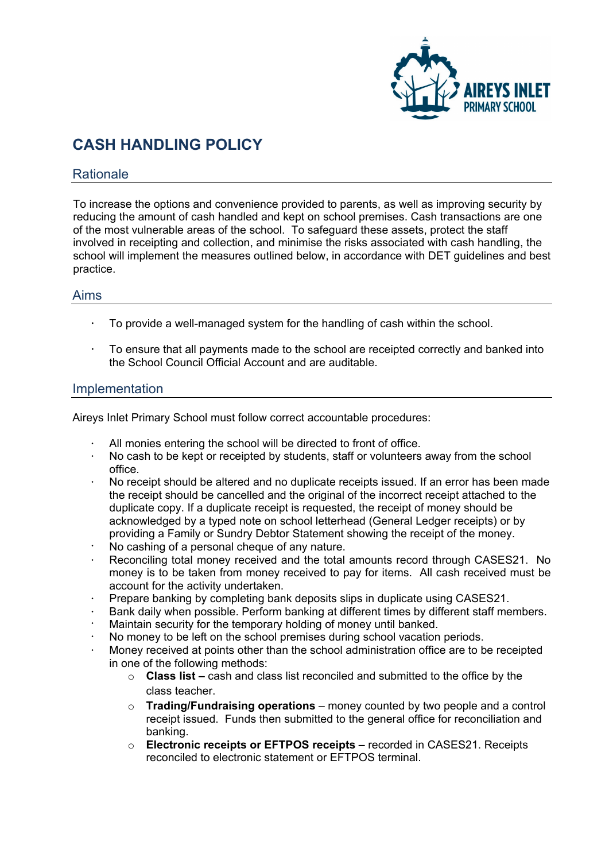

# **CASH HANDLING POLICY**

### **Rationale**

To increase the options and convenience provided to parents, as well as improving security by reducing the amount of cash handled and kept on school premises. Cash transactions are one of the most vulnerable areas of the school. To safeguard these assets, protect the staff involved in receipting and collection, and minimise the risks associated with cash handling, the school will implement the measures outlined below, in accordance with DET guidelines and best practice.

#### Aims

- To provide a well-managed system for the handling of cash within the school.
- To ensure that all payments made to the school are receipted correctly and banked into the School Council Official Account and are auditable.

#### Implementation

Aireys Inlet Primary School must follow correct accountable procedures:

- All monies entering the school will be directed to front of office.
- $\cdot$  No cash to be kept or receipted by students, staff or volunteers away from the school office.
- No receipt should be altered and no duplicate receipts issued. If an error has been made the receipt should be cancelled and the original of the incorrect receipt attached to the duplicate copy. If a duplicate receipt is requested, the receipt of money should be acknowledged by a typed note on school letterhead (General Ledger receipts) or by providing a Family or Sundry Debtor Statement showing the receipt of the money.
- No cashing of a personal cheque of any nature.
- Reconciling total money received and the total amounts record through CASES21. No money is to be taken from money received to pay for items. All cash received must be account for the activity undertaken.
- Prepare banking by completing bank deposits slips in duplicate using CASES21.
- Bank daily when possible. Perform banking at different times by different staff members.
- Maintain security for the temporary holding of money until banked.
- No money to be left on the school premises during school vacation periods.
- Money received at points other than the school administration office are to be receipted in one of the following methods:
	- o **Class list** cash and class list reconciled and submitted to the office by the class teacher.
	- o **Trading/Fundraising operations** money counted by two people and a control receipt issued. Funds then submitted to the general office for reconciliation and banking.
	- o **Electronic receipts or EFTPOS receipts –** recorded in CASES21. Receipts reconciled to electronic statement or EFTPOS terminal.